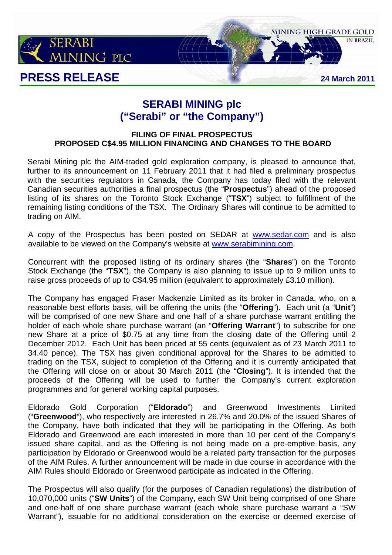

# **SERABI MINING plc ("Serabi" or "the Company")**

# **FILING OF FINAL PROSPECTUS PROPOSED C\$4.95 MILLION FINANCING AND CHANGES TO THE BOARD**

Serabi Mining plc the AIM-traded gold exploration company, is pleased to announce that, further to its announcement on 11 February 2011 that it had filed a preliminary prospectus with the securities regulators in Canada, the Company has today filed with the relevant Canadian securities authorities a final prospectus (the "**Prospectus**") ahead of the proposed listing of its shares on the Toronto Stock Exchange ("**TSX**") subject to fulfillment of the remaining listing conditions of the TSX. The Ordinary Shares will continue to be admitted to trading on AIM.

A copy of the Prospectus has been posted on SEDAR at www.sedar.com and is also available to be viewed on the Company's website at www.serabimining.com.

Concurrent with the proposed listing of its ordinary shares (the "**Shares**") on the Toronto Stock Exchange (the "**TSX**"), the Company is also planning to issue up to 9 million units to raise gross proceeds of up to C\$4.95 million (equivalent to approximately £3.10 million).

The Company has engaged Fraser Mackenzie Limited as its broker in Canada, who, on a reasonable best efforts basis, will be offering the units (the "**Offering**"). Each unit (a "**Unit**") will be comprised of one new Share and one half of a share purchase warrant entitling the holder of each whole share purchase warrant (an "**Offering Warrant**") to subscribe for one new Share at a price of \$0.75 at any time from the closing date of the Offering until 2 December 2012. Each Unit has been priced at 55 cents (equivalent as of 23 March 2011 to 34.40 pence). The TSX has given conditional approval for the Shares to be admitted to trading on the TSX, subject to completion of the Offering and it is currently anticipated that the Offering will close on or about 30 March 2011 (the "**Closing**"). It is intended that the proceeds of the Offering will be used to further the Company's current exploration programmes and for general working capital purposes.

Eldorado Gold Corporation ("**Eldorado**") and Greenwood Investments Limited ("**Greenwood**"), who respectively are interested in 26.7% and 20.0% of the issued Shares of the Company, have both indicated that they will be participating in the Offering. As both Eldorado and Greenwood are each interested in more than 10 per cent of the Company's issued share capital, and as the Offering is not being made on a pre-emptive basis, any participation by Eldorado or Greenwood would be a related party transaction for the purposes of the AIM Rules. A further announcement will be made in due course in accordance with the AIM Rules should Eldorado or Greenwood participate as indicated in the Offering.

The Prospectus will also qualify (for the purposes of Canadian regulations) the distribution of 10,070,000 units ("**SW Units**") of the Company, each SW Unit being comprised of one Share and one-half of one share purchase warrant (each whole share purchase warrant a "SW Warrant"), issuable for no additional consideration on the exercise or deemed exercise of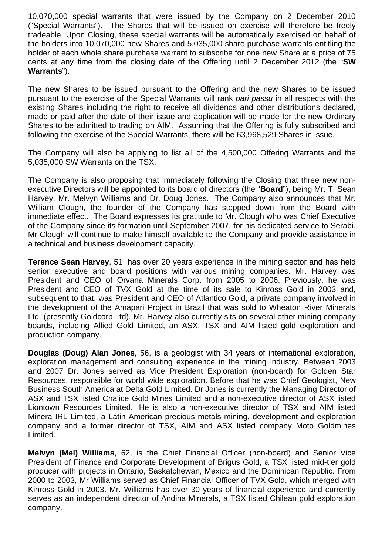10,070,000 special warrants that were issued by the Company on 2 December 2010 ("Special Warrants"). The Shares that will be issued on exercise will therefore be freely tradeable. Upon Closing, these special warrants will be automatically exercised on behalf of the holders into 10,070,000 new Shares and 5,035,000 share purchase warrants entitling the holder of each whole share purchase warrant to subscribe for one new Share at a price of 75 cents at any time from the closing date of the Offering until 2 December 2012 (the "**SW Warrants**").

The new Shares to be issued pursuant to the Offering and the new Shares to be issued pursuant to the exercise of the Special Warrants will rank *pari passu* in all respects with the existing Shares including the right to receive all dividends and other distributions declared, made or paid after the date of their issue and application will be made for the new Ordinary Shares to be admitted to trading on AIM. Assuming that the Offering is fully subscribed and following the exercise of the Special Warrants, there will be 63,968,529 Shares in issue.

The Company will also be applying to list all of the 4,500,000 Offering Warrants and the 5,035,000 SW Warrants on the TSX.

The Company is also proposing that immediately following the Closing that three new nonexecutive Directors will be appointed to its board of directors (the "**Board**"), being Mr. T. Sean Harvey, Mr. Melvyn Williams and Dr. Doug Jones. The Company also announces that Mr. William Clough, the founder of the Company has stepped down from the Board with immediate effect. The Board expresses its gratitude to Mr. Clough who was Chief Executive of the Company since its formation until September 2007, for his dedicated service to Serabi. Mr Clough will continue to make himself available to the Company and provide assistance in a technical and business development capacity.

**Terence Sean Harvey**, 51, has over 20 years experience in the mining sector and has held senior executive and board positions with various mining companies. Mr. Harvey was President and CEO of Orvana Minerals Corp. from 2005 to 2006. Previously, he was President and CEO of TVX Gold at the time of its sale to Kinross Gold in 2003 and, subsequent to that, was President and CEO of Atlantico Gold, a private company involved in the development of the Amapari Project in Brazil that was sold to Wheaton River Minerals Ltd. (presently Goldcorp Ltd). Mr. Harvey also currently sits on several other mining company boards, including Allied Gold Limited, an ASX, TSX and AIM listed gold exploration and production company.

**Douglas (Doug) Alan Jones**, 56, is a geologist with 34 years of international exploration, exploration management and consulting experience in the mining industry. Between 2003 and 2007 Dr. Jones served as Vice President Exploration (non-board) for Golden Star Resources, responsible for world wide exploration. Before that he was Chief Geologist, New Business South America at Delta Gold Limited. Dr Jones is currently the Managing Director of ASX and TSX listed Chalice Gold Mines Limited and a non-executive director of ASX listed Liontown Resources Limited. He is also a non-executive director of TSX and AIM listed Minera IRL Limited, a Latin American precious metals mining, development and exploration company and a former director of TSX, AIM and ASX listed company Moto Goldmines Limited.

**Melvyn (Mel) Williams**, 62, is the Chief Financial Officer (non-board) and Senior Vice President of Finance and Corporate Development of Brigus Gold, a TSX listed mid-tier gold producer with projects in Ontario, Saskatchewan, Mexico and the Dominican Republic. From 2000 to 2003, Mr Williams served as Chief Financial Officer of TVX Gold, which merged with Kinross Gold in 2003. Mr. Williams has over 30 years of financial experience and currently serves as an independent director of Andina Minerals, a TSX listed Chilean gold exploration company.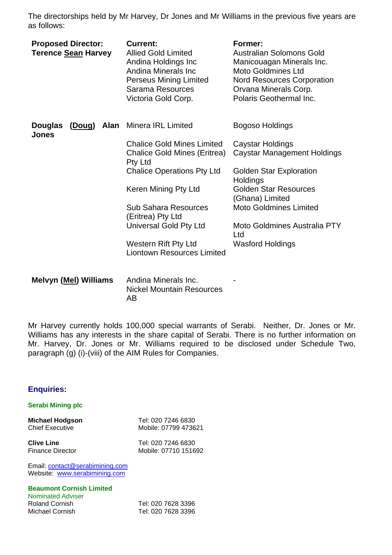The directorships held by Mr Harvey, Dr Jones and Mr Williams in the previous five years are as follows:

| <b>Proposed Director:</b><br><b>Terence Sean Harvey</b> | <b>Current:</b><br><b>Allied Gold Limited</b><br>Andina Holdings Inc<br>Andina Minerals Inc<br><b>Perseus Mining Limited</b><br>Sarama Resources<br>Victoria Gold Corp.                                                                                                                            | Former:<br><b>Australian Solomons Gold</b><br>Manicouagan Minerals Inc.<br><b>Moto Goldmines Ltd</b><br><b>Nord Resources Corporation</b><br>Orvana Minerals Corp.<br>Polaris Geothermal Inc.                                                                     |
|---------------------------------------------------------|----------------------------------------------------------------------------------------------------------------------------------------------------------------------------------------------------------------------------------------------------------------------------------------------------|-------------------------------------------------------------------------------------------------------------------------------------------------------------------------------------------------------------------------------------------------------------------|
| Alan<br><b>Douglas</b><br><u>(Doug)</u><br><b>Jones</b> | <b>Minera IRL Limited</b>                                                                                                                                                                                                                                                                          | Bogoso Holdings                                                                                                                                                                                                                                                   |
|                                                         | <b>Chalice Gold Mines Limited</b><br><b>Chalice Gold Mines (Eritrea)</b><br>Pty Ltd<br><b>Chalice Operations Pty Ltd</b><br>Keren Mining Pty Ltd<br><b>Sub Sahara Resources</b><br>(Eritrea) Pty Ltd<br><b>Universal Gold Pty Ltd</b><br>Western Rift Pty Ltd<br><b>Liontown Resources Limited</b> | Caystar Holdings<br><b>Caystar Management Holdings</b><br><b>Golden Star Exploration</b><br>Holdings<br><b>Golden Star Resources</b><br>(Ghana) Limited<br><b>Moto Goldmines Limited</b><br><b>Moto Goldmines Australia PTY</b><br>Ltd<br><b>Wasford Holdings</b> |
| <b>Melvyn (Mel) Williams</b>                            | Andina Minerals Inc.<br><b>Nickel Mountain Resources</b><br>AB                                                                                                                                                                                                                                     |                                                                                                                                                                                                                                                                   |

Mr Harvey currently holds 100,000 special warrants of Serabi. Neither, Dr. Jones or Mr. Williams has any interests in the share capital of Serabi. There is no further information on Mr. Harvey, Dr. Jones or Mr. Williams required to be disclosed under Schedule Two, paragraph (g) (i)-(viii) of the AIM Rules for Companies.

## **Enquiries:**

### **Serabi Mining plc**

**Michael Hodgson** Tel: 020 7246 6830 Chief Executive Mobile: 07799 473621

**Clive Line** Tel: 020 7246 6830 Finance Director Mobile: 07710 151692

Email: contact@serabimining.com Website: www.serabimining.com

## **Beaumont Cornish Limited**

**Nominated Adviser**<br>Roland Cornish Roland Cornish Tel: 020 7628 3396<br>Michael Cornish Tel: 020 7628 3396

Tel: 020 7628 3396